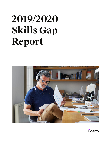# **2019/2020 Skills Gap Report**



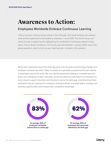# **Awareness to Action:**

# Employees Worldwide Embrace Continuous Learning

Udemy has been tracking trends related to the skills gap—the divide between job-seekers' skills and the qualifications demanded by employers—since 2016. This fourth survey and report focuses on global trends, highlighting the sentiments of employees based in India, Spain, France, Brazil, and Mexico. This survey was administered in January 2020, before the global pandemic, and it is the first year India has been included in this research.

We've seen awareness around the skills gap grow over the years as technology changes and employers demand new skills. Today its existence is generally accepted by the vast majority of employees around the world. We now see that awareness leading to increased personal action and willingness to learn new skills, as well as collective expectations for employers to more robustly support education and training to narrow the skills gap. Understanding these sentiments may be important for employers looking to attract and retain talent, leverage new business opportunities, and increase their competitive advantage.

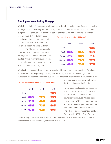### **Employees are minding the gap**

While the majority of employees in all countries believe their national workforce is competitive in the global economy, they also are uneasy that this competitiveness won't last, let alone surge ahead in the future. This is due in part to the increasing demand for new technical

and productivity "hard skills" and a growing emphasis on organizational and personal "soft skills" – both of which are becoming more and more essential for 21st century business. In other words, a skills gap. India (92%), Brazil (94%) and France (91%) are near the top in their worry that their country has a skills shortage problem, ahead of Mexico (72%) and Spain (77%).

#### Do you believe there is a skills gap?

|               | 2017 | 2018 | 2019 |
|---------------|------|------|------|
| India         |      |      | 92%  |
| <b>Brazil</b> | 98%  | 95%  | 94%  |
| <b>France</b> | 81%  | 93%  | 91%  |
| <b>Mexico</b> | 66%  | 70%  | 72%  |
| <b>Spain</b>  | 65%  | 73%  | 77%  |

We also found an underlying current of anxiety, with as many as three-quarters of workers in Brazil and India responding that they feel personally affected by the skills gap. The Europeans are noticeably less nervous, with just under half of employees in France and 60%

|               | 2017 | 2018 | 2019 |
|---------------|------|------|------|
| India         |      |      | 76%  |
| <b>Brazil</b> | 66%  | 72%  | 75%  |
| <b>France</b> | 32%  | 49%  | 49%  |
| <b>Mexico</b> | 65%  | 73%  | 68%  |
| <b>Spain</b>  | 57%  | 62%  | 60%  |

#### Do you personally affected by the skills gap?

of employees in Spain saying they feel like the skills gap will affect them.

However, on the flip side, our research revealed a strong sense of employee optimism and confidence in the countries we surveyed. Mexico leads the group, with 79% believing that their education has equipped them with the skills required for today's workplace. The other countries responded similarly (76% in India, 76% in Brazil, 73% in

Spain), except for France, which took a more negative tone with just 44% responding that they believed in this statement, down from 51% in 2018.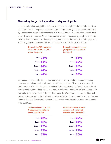#### **Narrowing the gap is imperative to stay employable**

It's commonly acknowledged that required job skills are changing and will continue to do so at an increasingly rapid pace. Our research found that narrowing the skills gap is perceived by employees as critical to stay competitive in the workforce – a nearly universal sentiment in Brazil, India, and Mexico. While employees have various reasons why they believe it is vital to invest time and money to enhance, develop, and advance their skills, the underlying theme is that ongoing education and training is necessary in order to keep or find a job.

| Do you think Al/automation<br>will be able to do your job<br>within five years? |             | Do you think the skills to do<br>your job will change within<br>five years? |             |
|---------------------------------------------------------------------------------|-------------|-----------------------------------------------------------------------------|-------------|
|                                                                                 | India $76%$ |                                                                             | India $87%$ |
|                                                                                 | Brazil 56%  |                                                                             | Brazil 80%  |
|                                                                                 | France 44%  |                                                                             | France 69%  |
|                                                                                 | Mexico 47%  |                                                                             | Mexico 76%  |
|                                                                                 | Spain $42%$ |                                                                             | Spain $63%$ |

Our research shows that overall, employees feel an urgency to address the educational, employment, and economic challenges the skills gap presents. Most employees agreed that there are external factors, most significantly, increased use of automation and artificial intelligence (AI), that will require them to acquire different or additional skills to replace skills they believe will be obsolete in the next five years. The World Economic Forum adds weight to this conjecture, estimating that [50% of jobs worldwide w](https://www.weforum.org/agenda/2020/01/future-of-work/?fbclid=IwAR11eWxrq3q3zcRl8hPmrNV1v54dybLkOG88c93Zve2-KkNBn7PFL3lcKLE)ill be changed by automation over the next 10 years. These sentiments can be seen in all countries but are most pronounced in India and Brazil.

| Skills are changing so fast<br>that our current skills are<br>becoming obsolete |             | College education doesn't<br>equip us with skills that<br>make us effective at work |  |
|---------------------------------------------------------------------------------|-------------|-------------------------------------------------------------------------------------|--|
|                                                                                 | India $84%$ | India $82%$                                                                         |  |
|                                                                                 | Brazil 85%  | Brazil 67%                                                                          |  |
|                                                                                 | France 70%  | France 79%                                                                          |  |
|                                                                                 | Mexico 78%  | Mexico 73%                                                                          |  |
|                                                                                 | Spain 77%   | Spain 70%                                                                           |  |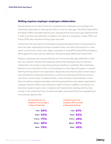#### **Skilling requires employer-employee collaboration**

Despite being nervous about future job competitiveness, employees sound willing to be individually responsible for learning new skills to close the skills gap. India (91%), Brazil (91%) and Mexico (89%) noticeably lead the pack, saying that they have had to gain additional skills in order to do their jobs effectively. In addition, the majority of employees in Spain (76%) and France (67%) also reported working to gain new skills.

Furthermore, the vast majority of employees see potential opportunities in being pushed to learn new skills, responding that they're excited to learn new skills and transition to a new career or job function in the future. Again, employees in India (97%), Brazil (91%) and Mexico (93%) agreed the most with this statement, followed by Spain (84%) and France (71%).

However, employees also express that they can't narrow the skills gap sufficiently on their own. Our research indicates that employees believe that employers have an important, collaborative role to play in supporting employee reskilling or upskilling. Most employees believe it is very important for their current employer to encourage and support a constant learning/training culture in an organization. Responses show that this deep concern about and commitment to fostering and sharing in a continuous learning and training culture is more than a "nice to have," an added benefit, or extra incentive in the workplace. In fact, failure to address employee education and training expectations may impact organizations' employee retention efforts and contribute to higher turnover. In addition, according to an [Accenture research report,](https://www.accenture.com/us-en/insights/strategy/new-workforce-skilling-innovation-growth) when companies don't develop their existing workforce fast enough, it can render them less innovative and agile, and prevent them from capitalizing on new business opportunities.

| It's important for my<br>employer to encourage a<br>"culture of learning" |             |               | I'd leave my job if my<br>employer didn't provide<br>professional training |  |
|---------------------------------------------------------------------------|-------------|---------------|----------------------------------------------------------------------------|--|
|                                                                           | India $94%$ | <b>India</b>  | 61%                                                                        |  |
| <b>Brazil</b>                                                             | <b>53%</b>  | <b>Brazil</b> | 63%                                                                        |  |
|                                                                           | France 77%  |               | France 49%                                                                 |  |
|                                                                           | Mexico 80%  | <b>Mexico</b> | 67%                                                                        |  |
|                                                                           | Spain $74%$ | <b>Spain</b>  |                                                                            |  |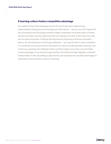#### **A learning culture fosters competitive advantage**

Our research shows that employees all over the world have been experiencing unprecedented change due to technology and other factors – and we can only imagine this has accelerated since the global pandemic began. Employees are acutely aware of trends around automation and the reality that skills are changing very fast. At the same time, they also recognize the power of lifelong learning and are embracing continuous education - both on an individual basis and through employers -- as a way for them to stay competitive in a constantly evolving job market. Employers too may be recognizing that investing in the continuous upskilling and reskilling of their workforce helps ensure they can pivot faster to take advantage of new business opportunities. All of these findings highlight a potential transformation in the way skilling is approached, and emphasize the possible advantages for organizations that embrace a culture of learning.

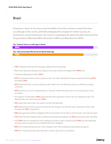# Brazil

Employees in Brazil are the most concerned (94%) of all of the countries surveyed that there is a skills gap in their country, potentially damaging their prospects for career success, job performance, and job productivity. This concern is expressed with almost the same intensity across the generations: Millennials (94%), Generation X (96%), and Baby Boomers (92%).

#### Yes, I believe there is a skills gap in Brazil

#### 95%

#### Yes, I feel personally affected by the Brazil skills gap

72%

- 75% of Brazilians feel that the skills gap is affecting them personally.
- Skills most valued by employers according to the survey include Tech/Digital Skills (55%) and
- Leadership/Management Skills (53%).
- 47% of employees choose online courses to learn new skills, followed by company-sponsored training (31%), and books (10%).
- 67% believe that their university education didn't teach them the skills they need to be effective in today's workforce.
- 97% say there is so much competitiveness in the labor market that they need to continuously learn to stay successful.
- The majority of respondents (85%) agree that the skills required to do their jobs are changing too fast. The Baby Boomers are most pessimistic (51%).
- 91% report they had to learn new skills to do their job effectively.
- 80% agree that the skills required to do their job will change in the next five years. Generation X feels most strongly, with **82%** in agreement.
- 56% also agree that artificial intelligence (AI) and automation will be able to do their work in the next five years.
- 71% report that their employer offers professional development programs and 91% are excited to learn new skills.
- Half (53%) think it's important for their employers to build a culture of learning while 58% say that employees who take online courses are more qualified than their colleagues.
- 63% will consider leaving their job if their employer won't offer professional development programs.
- 39% also confess they have been dishonest in order to get a job or a promotion.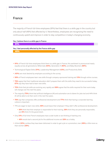# France

The majority of French full-time employees (91%) feel that there is a skills gap in the country but only about half (49%) feel affected by it. Nevertheless, employees are recognizing the need to continuously upskill and improve in order to stay competitive in today's changing economy.

#### Yes, I believe there is a skills gap in France

| 91%                                                      |  |
|----------------------------------------------------------|--|
|                                                          |  |
| Yes, I feel personally affected by the France skills gap |  |
| 49%                                                      |  |
|                                                          |  |
|                                                          |  |
|                                                          |  |

- 91% of French full-time employees think there is a skills gap in France; this sentiment is pronounced nearly equally across all generations: Millennials (94%), Generation X (90%), and Baby Boomers (89%).
- Technological/Digital Skills (51%), Leadership/Management (43%), and Productivity Skills
- (40%) are most desired by employers according to the survey.
- 56% of French employees learn new skills through company-sponsored training and 13% through online courses.
- 79% agree that their traditional education didn't prepare them with the skills they need to be successful today; **67%** say they have had to learn new skills.
- 70% think that job skills are evolving very rapidly and 69% agree that the skills required for their work today will change over the next five years.
- The majority (75%) think that artificial intelligence (AI) and automation are to blame for jobs lost and 44% think AI will be able to do their work in the next five years.
- 76% say that companies offer professional development and 77% think that having a corporate learning culture is important.
- 71% are eager to learn new skills; 49% would leave their employer if they didn't offer professional development.
	- 56% think that their employer is responsible for their training, 38% think they are personally responsible, and 6% think it's the government.
- Only 31% of full-time French employees have a side hustle or are thinking of starting one.
	- 48% would start a second job for the additional income and 28% as a hobby.
- A third (32%) confess they have been dishonest in order to get a job or a promotion; men (36%) a little more so than women  $(28%)$ .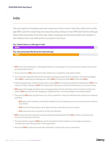# India

The vast majority of employees are near-unanimous in their concern that India suffers from a skills gap (92%), and this overarching worry becomes deep anxiety as most (76%) feel that the skills gap affects them personally. On the flip side, Indian employees are extremely bullish and confident in their ability to learn new skills and be successful in the future.

#### Yes, I believe there is a skills gap in India

# Yes, I feel personally affected by the India skills gap 76% 92%

- 92% of full-time employees in India agree that there is a skills gap in the country and the majority of them feel personally affected by it.
- At the same time, 92% believe that India's workforce is competitive in the global market.
- Two-thirds also responded that all four skill types are equally valued by their employers: Technical and Digital skills (68%), Leadership and Management skills (66%), Productivity skills (66%), Soft skills (63%).
- Indian employees learn mostly through online courses (44%) and corporate professional development (34%). The majority of Indian employees (97%) are excited about learning new skills and transitioning to a new job one day.
- 82% agree that college education has not equipped them with the skills they need to succeed in today's job market; **84%** say that skills are changing so rapidly that their current knowledge is becoming obsolete.
- The majority (92%) also say that there is so much competition in the job market that they need to be constantly upskilling.
	- 82% agree that automation and artificial intelligence (AI) are taking away job roles and they need to reskill to stay relevant.
	- 76% think that Al/automation will be able to do their work within the next five years.
	- 91% have had to learn new skills to do their job effectively.
- 86% confirm that their employer provides professional development while 61% say they would leave their current job if that wasn't the case.
- The overwhelming majority (94%) also say it's important for their employer to encourage and support a "constant learning/training culture" in the organization.
- About half (55%) confess they have been dishonest in order to get a job or a promotion.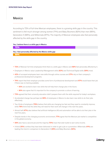# **Mexico**

According to 72% of full-time Mexican employees, there is a growing skills gap in the country. This sentiment is felt much stronger among women (71%) and Baby Boomers (82%) than men (66%), Generation X (68%), and Millennials (67%). The majority of Mexican employees also feel personally affected by the skills gap in the country.

#### Yes, I believe there is a skills gap in Mexico

| 72%                                                      |  |
|----------------------------------------------------------|--|
| Yes, I feel personally affected by the Mexico skills gap |  |
|                                                          |  |
| 68%                                                      |  |
|                                                          |  |
|                                                          |  |

- 72% of Mexican full-time employees think there is a skills gap in Mexico and 68% feel personally affected by it.
- Employers in Mexico value Leadership/Management skills (63%) and Technical/Digital skills (59%) most.
- 42% of surveyed employees learn new skills through online courses and 37% rely on their company's professional development programs.
- 74% report that their employer provides some form of professional development and 67% would leave their job if there was no training available.
	- 93% are excited to learn new skills that will help them change jobs in the future.
	- 80% also agree that it's important for the company to promote a culture of learning.
- 73% agreed that their university education didn't prepare them with the skills required for today's workplace.
- Accelerated change has perhaps led 89% of employees in Mexico to also learn new skills to do their jobs effectively.
- Two-thirds of employers (78%) believe that skills are changing too fast and they need to constantly improve, while 76% think that the skills they will need for their work will change in the next five years.
- Almost half (47%) also believe that artificial intelligence (AI) and automation will be able to do their jobs in the next five years.
- Despite trends in the changing economic environment, 77% agree that the Mexican job market is competitive in the global economy.
- 56% also have a second job and the majority (70%) have that side hustle to earn extra income.
- A third (35%) confess they have been dishonest in order to get a job or a promotion. Millennials (41%) are leading this trend in comparison to Generation X (28%) and Baby Boomers (92%).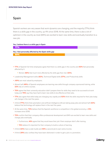# Spain

Spanish workers are very aware that work dynamics are changing, and the majority (77%) think there is a skills gap in the country, up 4% since 2018. At the same time, there is also a lot of optimism in the country as most (84%) are excited to learn new skills and eventually transition to a new job.

#### Yes, I believe there is a skills gap in Spain

| 77%                                                     |  |
|---------------------------------------------------------|--|
| Yes, I feel personally affected by the Spain skills gap |  |
| 60%                                                     |  |
|                                                         |  |

- 77% of Spanish full-time employees agree that there is a skills gap in the country and 60% feel personally affected by it.
	- Women (68%) feel much more affected by the skills gap than men (52%).
- Leadership/Management skills (62%), Technical/Digital skills (57%), and Productivity skills
- (49%) are most valued by employers.
- Almost half (46%) of Spanish employees are learning new skills through company-sponsored training, while 32% rely on online courses.
- 70% agree that their university education didn't prepare them for skills they need to be successful at work today and 76% say they have had to learn new skills to be effective at their jobs.
- 77% also agree that skills today are changing very rapidly and 63% think the skills required for their jobs today will change in the next five years.
- A third (77%) think that automation and artificial intelligence (AI) are taking away jobs and almost half (42%) believe that technology will replace them in the next five years.
- At the same time, 72% believe that the Spanish workforce is competitive in the global economy, a 14% increase since 2018.
- 70% confirm that their company offers professional development and 84% are excited to learn new skills and change jobs eventually.
	- Furthermore, 46% agree that they would leave their job if their employer didn't offer training.
	- 74% believe it's important for their company to build a culture of learning.
- A third (32%) have a side hustle and 55% a second job to earn extra income.
- A third (39%) also confess they have been dishonest in order to get a job or a promotion.